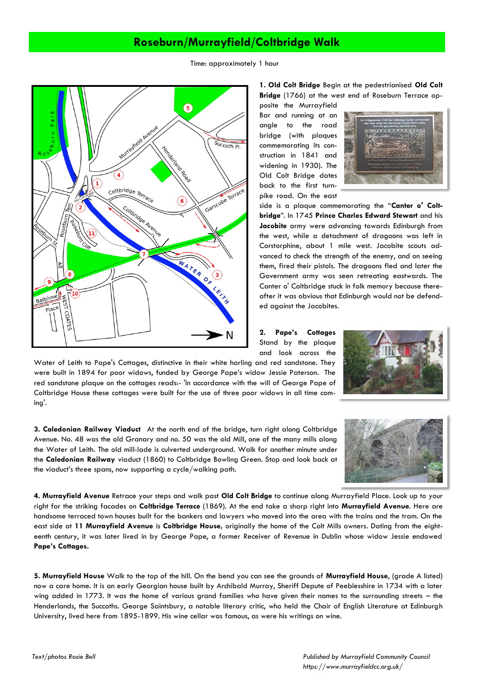## **Roseburn/Murrayfield/Coltbridge Walk**

Time: approximately 1 hour



**1. Old Colt Bridge** Begin at the pedestrianised **Old Colt Bridge** (1766) at the west end of Roseburn Terrace op-

posite the Murrayfield Bar and running at an angle to the road bridge (with plaques commemorating its construction in 1841 and widening in 1930). The Old Colt Bridge dates back to the first turnpike road. On the east



side is a plaque commemorating the "**Canter o' Coltbridge**". In 1745 **Prince Charles Edward Stewart** and his **Jacobite** army were advancing towards Edinburgh from the west, while a detachment of dragoons was left in Corstorphine, about 1 mile west. Jacobite scouts advanced to check the strength of the enemy, and on seeing them, fired their pistols. The dragoons fled and later the Government army was seen retreating eastwards. The Canter o' Coltbridge stuck in folk memory because thereafter it was obvious that Edinburgh would not be defended against the Jacobites.

**2. Pape's Cottages**  Stand by the plaque and look across the Water of Leith to Pape's Cottages, distinctive in their white harling and red sandstone. They

were built in 1894 for poor widows, funded by George Pape's widow Jessie Paterson. The red sandstone plaque on the cottages reads:- 'In accordance with the will of George Pape of Coltbridge House these cottages were built for the use of three poor widows in all time coming'.

**3. Caledonian Railway Viaduct** At the north end of the bridge, turn right along Coltbridge Avenue. No. 48 was the old Granary and no. 50 was the old Mill, one of the many mills along the Water of Leith. The old mill-lade is culverted underground. Walk for another minute under the **Caledonian Railway** viaduct (1860) to Coltbridge Bowling Green. Stop and look back at the viaduct's three spans, now supporting a cycle/walking path.



**4. Murrayfield Avenue** Retrace your steps and walk past **Old Colt Bridge** to continue along Murrayfield Place. Look up to your right for the striking facades on **Coltbridge Terrace** (1869). At the end take a sharp right into **Murrayfield Avenue**. Here are handsome terraced town houses built for the bankers and lawyers who moved into the area with the trains and the tram. On the east side at **11 Murrayfield Avenue** is **Coltbridge House,** originally the home of the Colt Mills owners. Dating from the eighteenth century, it was later lived in by George Pape, a former Receiver of Revenue in Dublin whose widow Jessie endowed **Pape's Cottages.**

**5. Murrayfield House** Walk to the top of the hill. On the bend you can see the grounds of **Murrayfield House**, (grade A listed) now a care home. It is an early Georgian house built by Archibald Murray, Sheriff Depute of Peeblesshire in 1734 with a later wing added in 1773. It was the home of various grand families who have given their names to the surrounding streets – the Henderlands, the Succoths. George Saintsbury, a notable literary critic, who held the Chair of English Literature at Edinburgh University, lived here from 1895-1899. His wine cellar was famous, as were his writings on wine.